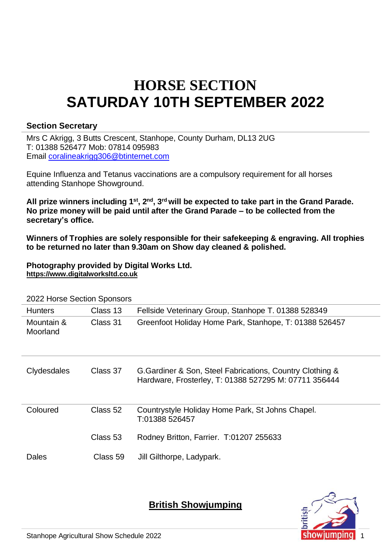# **HORSE SECTION SATURDAY 10TH SEPTEMBER 2022**

#### **Section Secretary**

Mrs C Akrigg, 3 Butts Crescent, Stanhope, County Durham, DL13 2UG T: 01388 526477 Mob: 07814 095983 Email [coralineakrigg306@btinternet.com](mailto:coralineakrigg306@btinternet.com)

Equine Influenza and Tetanus vaccinations are a compulsory requirement for all horses attending Stanhope Showground.

**All prize winners including 1st, 2nd , 3 rd will be expected to take part in the Grand Parade. No prize money will be paid until after the Grand Parade – to be collected from the secretary's office.**

**Winners of Trophies are solely responsible for their safekeeping & engraving. All trophies to be returned no later than 9.30am on Show day cleaned & polished.**

**Photography provided by Digital Works Ltd. [https://www.digitalworksltd.co.uk](https://www.digitalworksltd.co.uk/)**

| <b>Hunters</b>         | Class 13 | Fellside Veterinary Group, Stanhope T. 01388 528349                                                                |
|------------------------|----------|--------------------------------------------------------------------------------------------------------------------|
| Mountain &<br>Moorland | Class 31 | Greenfoot Holiday Home Park, Stanhope, T: 01388 526457                                                             |
| Clydesdales            | Class 37 | G. Gardiner & Son, Steel Fabrications, Country Clothing &<br>Hardware, Frosterley, T: 01388 527295 M: 07711 356444 |
| Coloured               | Class 52 | Countrystyle Holiday Home Park, St Johns Chapel.<br>T:01388 526457                                                 |
|                        | Class 53 | Rodney Britton, Farrier. T:01207 255633                                                                            |
| Dales                  | Class 59 | Jill Gilthorpe, Ladypark.                                                                                          |

2022 Horse Section Sponsors

**British Showjumping**

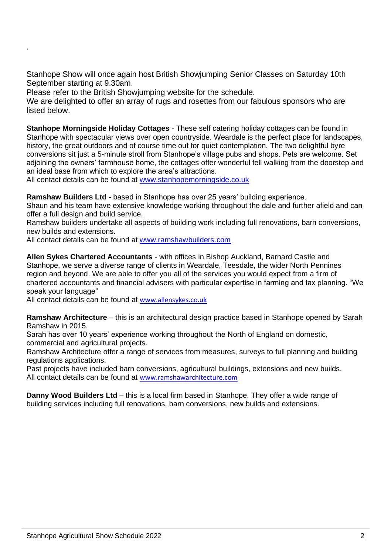Stanhope Show will once again host British Showjumping Senior Classes on Saturday 10th September starting at 9.30am.

Please refer to the British Showjumping website for the schedule.

.

We are delighted to offer an array of rugs and rosettes from our fabulous sponsors who are listed below.

**Stanhope Morningside Holiday Cottages** - These self catering holiday cottages can be found in Stanhope with spectacular views over open countryside. Weardale is the perfect place for landscapes, history, the great outdoors and of course time out for quiet contemplation. The two delightful byre conversions sit just a 5-minute stroll from Stanhope's village pubs and shops. Pets are welcome. Set adjoining the owners' farmhouse home, the cottages offer wonderful fell walking from the doorstep and an ideal base from which to explore the area's attractions.

All contact details can be found at [www.stanhopemorningside.co.uk](http://www.stanhopemorningside.co.uk/)

**Ramshaw Builders Ltd -** based in Stanhope has over 25 years' building experience.

Shaun and his team have extensive knowledge working throughout the dale and further afield and can offer a full design and build service.

Ramshaw builders undertake all aspects of building work including full renovations, barn conversions, new builds and extensions.

All contact details can be found at [www.ramshawbuilders.com](http://www.ramshawbuilders.com/)

**Allen Sykes Chartered Accountants** - with offices in Bishop Auckland, Barnard Castle and Stanhope, we serve a diverse range of clients in Weardale, Teesdale, the wider North Pennines region and beyond. We are able to offer you all of the services you would expect from a firm of chartered accountants and financial advisers with particular expertise in farming and tax planning. "We speak your language"

All contact details can be found at [www.allensykes.co.uk](http://www.allensykes.co.uk/)

**Ramshaw Architecture** – this is an architectural design practice based in Stanhope opened by Sarah Ramshaw in 2015.

Sarah has over 10 years' experience working throughout the North of England on domestic, commercial and agricultural projects.

Ramshaw Architecture offer a range of services from measures, surveys to full planning and building regulations applications.

Past projects have included barn conversions, agricultural buildings, extensions and new builds. All contact details can be found at [www.ramshawarchitecture.com](http://www.ramshawarchitecture.com/)

**Danny Wood Builders Ltd** – this is a local firm based in Stanhope. They offer a wide range of building services including full renovations, barn conversions, new builds and extensions.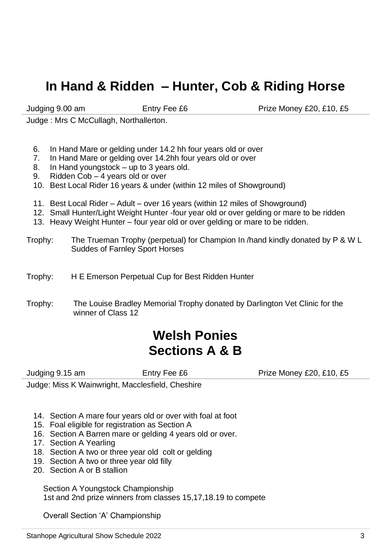### **In Hand & Ridden – Hunter, Cob & Riding Horse**

Judging 9.00 am Entry Fee £6 Prize Money £20, £10, £5

Judge : Mrs C McCullagh, Northallerton.

- 6. In Hand Mare or gelding under 14.2 hh four years old or over
- 7. In Hand Mare or gelding over 14.2hh four years old or over
- 8. In Hand youngstock up to 3 years old.<br>9. Ridden Cob 4 years old or over
- Ridden Cob 4 years old or over
- 10. Best Local Rider 16 years & under (within 12 miles of Showground)
- 11. Best Local Rider Adult over 16 years (within 12 miles of Showground)
- 12. Small Hunter/Light Weight Hunter -four year old or over gelding or mare to be ridden
- 13. Heavy Weight Hunter four year old or over gelding or mare to be ridden.
- Trophy: The Trueman Trophy (perpetual) for Champion In /hand kindly donated by P & W L Suddes of Farnley Sport Horses
- Trophy: H E Emerson Perpetual Cup for Best Ridden Hunter
- Trophy: The Louise Bradley Memorial Trophy donated by Darlington Vet Clinic for the winner of Class 12

### **Welsh Ponies Sections A & B**

Judging 9.15 am **Entry Fee £6** Prize Money £20, £10, £5

Judge: Miss K Wainwright, Macclesfield, Cheshire

- 14. Section A mare four years old or over with foal at foot
- 15. Foal eligible for registration as Section A
- 16. Section A Barren mare or gelding 4 years old or over.
- 17. Section A Yearling
- 18. Section A two or three year old colt or gelding
- 19. Section A two or three year old filly
- 20. Section A or B stallion

Section A Youngstock Championship 1st and 2nd prize winners from classes 15,17,18.19 to compete

Overall Section 'A' Championship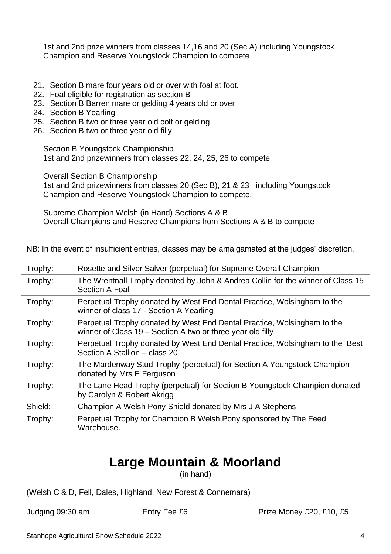1st and 2nd prize winners from classes 14,16 and 20 (Sec A) including Youngstock Champion and Reserve Youngstock Champion to compete

- 21. Section B mare four years old or over with foal at foot.
- 22. Foal eligible for registration as section B
- 23. Section B Barren mare or gelding 4 years old or over
- 24. Section B Yearling
- 25. Section B two or three year old colt or gelding
- 26. Section B two or three year old filly

Section B Youngstock Championship 1st and 2nd prizewinners from classes 22, 24, 25, 26 to compete

Overall Section B Championship

1st and 2nd prizewinners from classes 20 (Sec B), 21 & 23 including Youngstock Champion and Reserve Youngstock Champion to compete.

Supreme Champion Welsh (in Hand) Sections A & B Overall Champions and Reserve Champions from Sections A & B to compete

NB: In the event of insufficient entries, classes may be amalgamated at the judges' discretion.

| Trophy: | Rosette and Silver Salver (perpetual) for Supreme Overall Champion                                                                    |
|---------|---------------------------------------------------------------------------------------------------------------------------------------|
| Trophy: | The Wrentnall Trophy donated by John & Andrea Collin for the winner of Class 15<br>Section A Foal                                     |
| Trophy: | Perpetual Trophy donated by West End Dental Practice, Wolsingham to the<br>winner of class 17 - Section A Yearling                    |
| Trophy: | Perpetual Trophy donated by West End Dental Practice, Wolsingham to the<br>winner of Class 19 – Section A two or three year old filly |
| Trophy: | Perpetual Trophy donated by West End Dental Practice, Wolsingham to the Best<br>Section A Stallion - class 20                         |
| Trophy: | The Mardenway Stud Trophy (perpetual) for Section A Youngstock Champion<br>donated by Mrs E Ferguson                                  |
| Trophy: | The Lane Head Trophy (perpetual) for Section B Youngstock Champion donated<br>by Carolyn & Robert Akrigg                              |
| Shield: | Champion A Welsh Pony Shield donated by Mrs J A Stephens                                                                              |
| Trophy: | Perpetual Trophy for Champion B Welsh Pony sponsored by The Feed<br>Warehouse.                                                        |

# **Large Mountain & Moorland**

(in hand)

(Welsh C & D, Fell, Dales, Highland, New Forest & Connemara)

Judging 09:30 am Entry Fee £6 Prize Money £20, £10, £5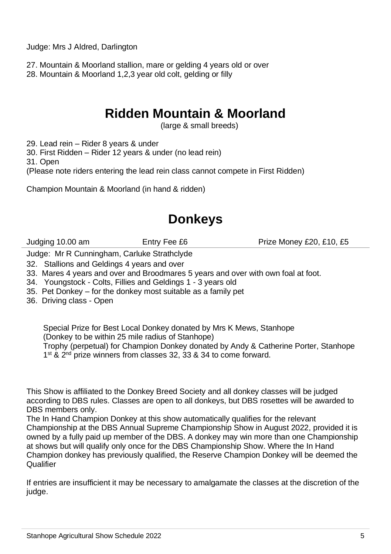Judge: Mrs J Aldred, Darlington

27. Mountain & Moorland stallion, mare or gelding 4 years old or over 28. Mountain & Moorland 1,2,3 year old colt, gelding or filly

### **Ridden Mountain & Moorland**

(large & small breeds)

29. Lead rein – Rider 8 years & under

30. First Ridden – Rider 12 years & under (no lead rein)

31. Open

(Please note riders entering the lead rein class cannot compete in First Ridden)

Champion Mountain & Moorland (in hand & ridden)

### **Donkeys**

Judging 10.00 am Entry Fee £6 Prize Money £20, £10, £5

Judge: Mr R Cunningham, Carluke Strathclyde

32. Stallions and Geldings 4 years and over

- 33. Mares 4 years and over and Broodmares 5 years and over with own foal at foot.
- 34. Youngstock Colts, Fillies and Geldings 1 3 years old
- 35. Pet Donkey for the donkey most suitable as a family pet
- 36. Driving class Open

Special Prize for Best Local Donkey donated by Mrs K Mews, Stanhope (Donkey to be within 25 mile radius of Stanhope) Trophy (perpetual) for Champion Donkey donated by Andy & Catherine Porter, Stanhope 1<sup>st</sup> & 2<sup>nd</sup> prize winners from classes 32, 33 & 34 to come forward.

This Show is affiliated to the Donkey Breed Society and all donkey classes will be judged according to DBS rules. Classes are open to all donkeys, but DBS rosettes will be awarded to DBS members only.

The In Hand Champion Donkey at this show automatically qualifies for the relevant Championship at the DBS Annual Supreme Championship Show in August 2022, provided it is owned by a fully paid up member of the DBS. A donkey may win more than one Championship at shows but will qualify only once for the DBS Championship Show. Where the In Hand Champion donkey has previously qualified, the Reserve Champion Donkey will be deemed the **Qualifier** 

If entries are insufficient it may be necessary to amalgamate the classes at the discretion of the judge.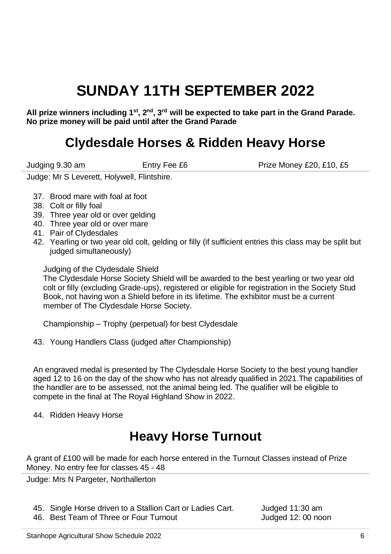# **SUNDAY 11TH SEPTEMBER 2022**

**All prize winners including 1st, 2nd, 3rd will be expected to take part in the Grand Parade. No prize money will be paid until after the Grand Parade**

### **Clydesdale Horses & Ridden Heavy Horse**

Judging 9.30 am Entry Fee £6 Prize Money £20, £10, £5

Judge: Mr S Leverett, Holywell, Flintshire.

- 37. Brood mare with foal at foot
- 38. Colt or filly foal
- 39. Three year old or over gelding
- 40. Three year old or over mare
- 41. Pair of Clydesdales
- 42. Yearling or two year old colt, gelding or filly (if sufficient entries this class may be split but judged simultaneously)

Judging of the Clydesdale Shield

The Clydesdale Horse Society Shield will be awarded to the best yearling or two year old colt or filly (excluding Grade-ups), registered or eligible for registration in the Society Stud Book, not having won a Shield before in its lifetime. The exhibitor must be a current member of The Clydesdale Horse Society.

Championship – Trophy (perpetual) for best Clydesdale

43. Young Handlers Class (judged after Championship)

An engraved medal is presented by The Clydesdale Horse Society to the best young handler aged 12 to 16 on the day of the show who has not already qualified in 2021.The capabilities of the handler are to be assessed, not the animal being led. The qualifier will be eligible to compete in the final at The Royal Highland Show in 2022.

44. Ridden Heavy Horse

# **Heavy Horse Turnout**

A grant of £100 will be made for each horse entered in the Turnout Classes instead of Prize Money. No entry fee for classes 45 - 48

Judge: Mrs N Pargeter, Northallerton

- 45. Single Horse driven to a Stallion Cart or Ladies Cart. Judged 11:30 am
- 46. Best Team of Three or Four Turnout and Mudded 12: 00 noon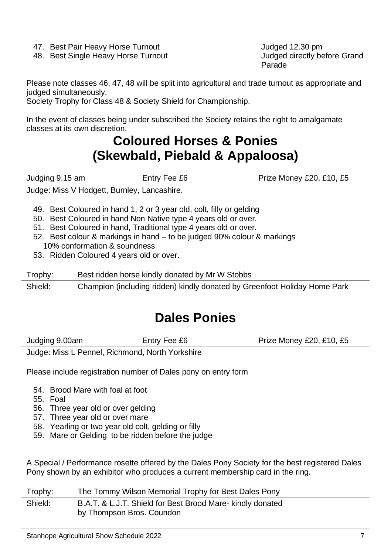- 
- 48. Best Single Heavy Horse Turnout

47. Best Pair Heavy Horse Turnout<br>48. Best Single Heavy Horse Turnout and Theory Sudded directly before Grand Parade

Please note classes 46, 47, 48 will be split into agricultural and trade turnout as appropriate and judged simultaneously.

Society Trophy for Class 48 & Society Shield for Championship.

In the event of classes being under subscribed the Society retains the right to amalgamate classes at its own discretion.

### **Coloured Horses & Ponies (Skewbald, Piebald & Appaloosa)**

Judging 9.15 am **Entry Fee £6** Prize Money £20, £10, £5

Judge: Miss V Hodgett, Burnley, Lancashire.

- 49. Best Coloured in hand 1, 2 or 3 year old, colt, filly or gelding
- 50. Best Coloured in hand Non Native type 4 years old or over.
- 51. Best Coloured in hand, Traditional type 4 years old or over.
- 52. Best colour & markings in hand to be judged 90% colour & markings 10% conformation & soundness
- 53. Ridden Coloured 4 years old or over.

Trophy: Best ridden horse kindly donated by Mr W Stobbs

Shield: Champion (including ridden) kindly donated by Greenfoot Holiday Home Park

# **Dales Ponies**

Judging 9.00am **Entry Fee £6** Prize Money £20, £10, £5

Judge: Miss L Pennel, Richmond, North Yorkshire

Please include registration number of Dales pony on entry form

- 54. Brood Mare with foal at foot
- 55. Foal
- 56. Three year old or over gelding
- 57. Three year old or over mare
- 58. Yearling or two year old colt, gelding or filly
- 59. Mare or Gelding to be ridden before the judge

A Special / Performance rosette offered by the Dales Pony Society for the best registered Dales Pony shown by an exhibitor who produces a current membership card in the ring.

| Trophy: | The Tommy Wilson Memorial Trophy for Best Dales Pony                                    |
|---------|-----------------------------------------------------------------------------------------|
| Shield: | B.A.T. & L.J.T. Shield for Best Brood Mare- kindly donated<br>by Thompson Bros. Coundon |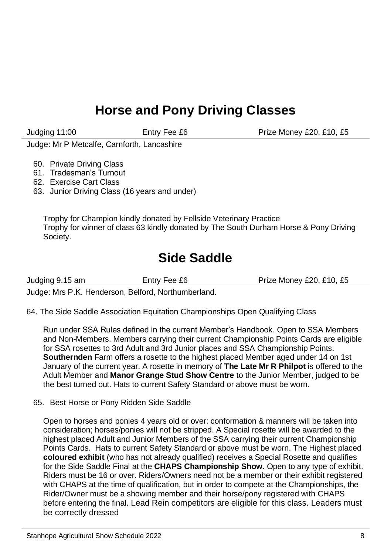### **Horse and Pony Driving Classes**

Judging 11:00 **Entry Fee £6** Prize Money £20, £10, £5

Judge: Mr P Metcalfe, Carnforth, Lancashire

- 60. Private Driving Class
- 61. Tradesman's Turnout
- 62. Exercise Cart Class
- 63. Junior Driving Class (16 years and under)

Trophy for Champion kindly donated by Fellside Veterinary Practice Trophy for winner of class 63 kindly donated by The South Durham Horse & Pony Driving Society.

### **Side Saddle**

Judging 9.15 am Entry Fee £6 Prize Money £20, £10, £5

Judge: Mrs P.K. Henderson, Belford, Northumberland.

64. The Side Saddle Association Equitation Championships Open Qualifying Class

Run under SSA Rules defined in the current Member's Handbook. Open to SSA Members and Non-Members. Members carrying their current Championship Points Cards are eligible for SSA rosettes to 3rd Adult and 3rd Junior places and SSA Championship Points. **Southernden** Farm offers a rosette to the highest placed Member aged under 14 on 1st January of the current year. A rosette in memory of **The Late Mr R Philpot** is offered to the Adult Member and **Manor Grange Stud Show Centre** to the Junior Member, judged to be the best turned out. Hats to current Safety Standard or above must be worn.

65. Best Horse or Pony Ridden Side Saddle

Open to horses and ponies 4 years old or over: conformation & manners will be taken into consideration; horses/ponies will not be stripped. A Special rosette will be awarded to the highest placed Adult and Junior Members of the SSA carrying their current Championship Points Cards. Hats to current Safety Standard or above must be worn. The Highest placed **coloured exhibit** (who has not already qualified) receives a Special Rosette and qualifies for the Side Saddle Final at the **CHAPS Championship Show**. Open to any type of exhibit. Riders must be 16 or over. Riders/Owners need not be a member or their exhibit registered with CHAPS at the time of qualification, but in order to compete at the Championships, the Rider/Owner must be a showing member and their horse/pony registered with CHAPS before entering the final. Lead Rein competitors are eligible for this class. Leaders must be correctly dressed